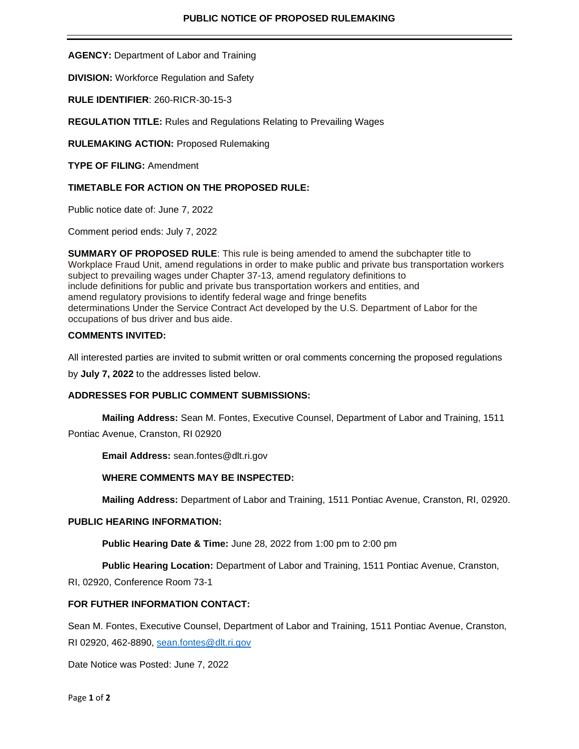**AGENCY:** Department of Labor and Training

**DIVISION:** Workforce Regulation and Safety

**RULE IDENTIFIER**: 260-RICR-30-15-3

**REGULATION TITLE:** Rules and Regulations Relating to Prevailing Wages

**RULEMAKING ACTION:** Proposed Rulemaking

**TYPE OF FILING:** Amendment

## **TIMETABLE FOR ACTION ON THE PROPOSED RULE:**

Public notice date of: June 7, 2022

Comment period ends: July 7, 2022

**SUMMARY OF PROPOSED RULE**: This rule is being amended to amend the subchapter title to Workplace Fraud Unit, amend regulations in order to make public and private bus transportation workers subject to prevailing wages under Chapter 37-13, amend regulatory definitions to include definitions for public and private bus transportation workers and entities, and amend regulatory provisions to identify federal wage and fringe benefits determinations Under the Service Contract Act developed by the U.S. Department of Labor for the occupations of bus driver and bus aide.

### **COMMENTS INVITED:**

All interested parties are invited to submit written or oral comments concerning the proposed regulations

by **July 7, 2022** to the addresses listed below.

# **ADDRESSES FOR PUBLIC COMMENT SUBMISSIONS:**

**Mailing Address:** Sean M. Fontes, Executive Counsel, Department of Labor and Training, 1511

Pontiac Avenue, Cranston, RI 02920

**Email Address:** sean.fontes@dlt.ri.gov

### **WHERE COMMENTS MAY BE INSPECTED:**

**Mailing Address:** Department of Labor and Training, 1511 Pontiac Avenue, Cranston, RI, 02920.

### **PUBLIC HEARING INFORMATION:**

**Public Hearing Date & Time:** June 28, 2022 from 1:00 pm to 2:00 pm

**Public Hearing Location:** Department of Labor and Training, 1511 Pontiac Avenue, Cranston,

RI, 02920, Conference Room 73-1

### **FOR FUTHER INFORMATION CONTACT:**

Sean M. Fontes, Executive Counsel, Department of Labor and Training, 1511 Pontiac Avenue, Cranston, RI 02920, 462-8890, [sean.fontes@dlt.ri.gov](mailto:sean.fontes@dlt.ri.gov)

Date Notice was Posted: June 7, 2022